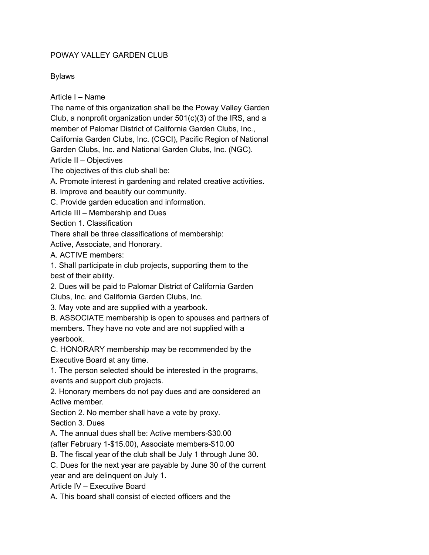## POWAY VALLEY GARDEN CLUB

Bylaws

Article I – Name

The name of this organization shall be the Poway Valley Garden Club, a nonprofit organization under 501(c)(3) of the IRS, and a member of Palomar District of California Garden Clubs, Inc., California Garden Clubs, Inc. (CGCI), Pacific Region of National

Garden Clubs, Inc. and National Garden Clubs, Inc. (NGC).

Article II – Objectives

The objectives of this club shall be:

A. Promote interest in gardening and related creative activities.

B. Improve and beautify our community.

C. Provide garden education and information.

Article III – Membership and Dues

Section 1. Classification

There shall be three classifications of membership:

Active, Associate, and Honorary.

A. ACTIVE members:

1. Shall participate in club projects, supporting them to the best of their ability.

2. Dues will be paid to Palomar District of California Garden

Clubs, Inc. and California Garden Clubs, Inc.

3. May vote and are supplied with a yearbook.

B. ASSOCIATE membership is open to spouses and partners of members. They have no vote and are not supplied with a yearbook.

C. HONORARY membership may be recommended by the Executive Board at any time.

1. The person selected should be interested in the programs, events and support club projects.

2. Honorary members do not pay dues and are considered an Active member.

Section 2. No member shall have a vote by proxy.

Section 3. Dues

A. The annual dues shall be: Active members-\$30.00

(after February 1-\$15.00), Associate members-\$10.00

B. The fiscal year of the club shall be July 1 through June 30.

C. Dues for the next year are payable by June 30 of the current

year and are delinquent on July 1.

Article IV – Executive Board

A. This board shall consist of elected officers and the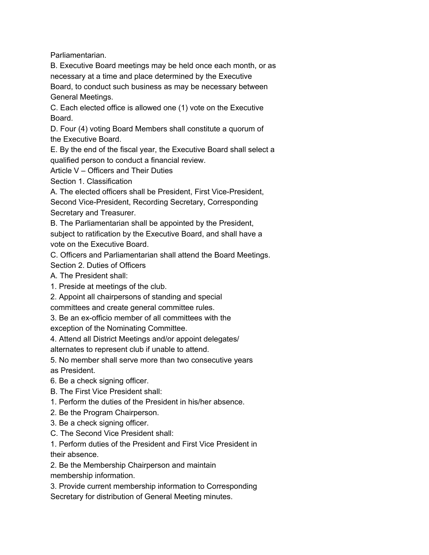Parliamentarian.

B. Executive Board meetings may be held once each month, or as necessary at a time and place determined by the Executive

Board, to conduct such business as may be necessary between General Meetings.

C. Each elected office is allowed one (1) vote on the Executive Board.

D. Four (4) voting Board Members shall constitute a quorum of the Executive Board.

E. By the end of the fiscal year, the Executive Board shall select a qualified person to conduct a financial review.

Article V – Officers and Their Duties

Section 1. Classification

A. The elected officers shall be President, First Vice-President,

Second Vice-President, Recording Secretary, Corresponding Secretary and Treasurer.

B. The Parliamentarian shall be appointed by the President, subject to ratification by the Executive Board, and shall have a vote on the Executive Board.

C. Officers and Parliamentarian shall attend the Board Meetings.

Section 2. Duties of Officers

A. The President shall:

1. Preside at meetings of the club.

2. Appoint all chairpersons of standing and special

committees and create general committee rules.

3. Be an ex-officio member of all committees with the

exception of the Nominating Committee.

4. Attend all District Meetings and/or appoint delegates/

alternates to represent club if unable to attend.

5. No member shall serve more than two consecutive years as President.

6. Be a check signing officer.

B. The First Vice President shall:

1. Perform the duties of the President in his/her absence.

2. Be the Program Chairperson.

3. Be a check signing officer.

C. The Second Vice President shall:

1. Perform duties of the President and First Vice President in their absence.

2. Be the Membership Chairperson and maintain membership information.

3. Provide current membership information to Corresponding Secretary for distribution of General Meeting minutes.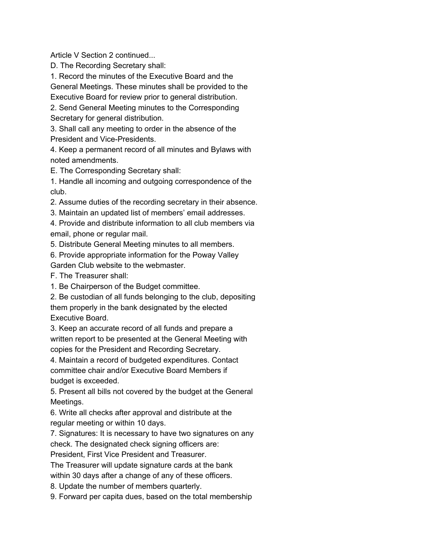Article V Section 2 continued...

D. The Recording Secretary shall:

1. Record the minutes of the Executive Board and the

General Meetings. These minutes shall be provided to the

Executive Board for review prior to general distribution.

2. Send General Meeting minutes to the Corresponding Secretary for general distribution.

3. Shall call any meeting to order in the absence of the President and Vice-Presidents.

4. Keep a permanent record of all minutes and Bylaws with noted amendments.

E. The Corresponding Secretary shall:

1. Handle all incoming and outgoing correspondence of the club.

2. Assume duties of the recording secretary in their absence.

3. Maintain an updated list of members' email addresses.

4. Provide and distribute information to all club members via email, phone or regular mail.

5. Distribute General Meeting minutes to all members.

6. Provide appropriate information for the Poway Valley

Garden Club website to the webmaster.

F. The Treasurer shall:

1. Be Chairperson of the Budget committee.

2. Be custodian of all funds belonging to the club, depositing them properly in the bank designated by the elected Executive Board.

3. Keep an accurate record of all funds and prepare a written report to be presented at the General Meeting with copies for the President and Recording Secretary.

4. Maintain a record of budgeted expenditures. Contact committee chair and/or Executive Board Members if budget is exceeded.

5. Present all bills not covered by the budget at the General Meetings.

6. Write all checks after approval and distribute at the regular meeting or within 10 days.

7. Signatures: It is necessary to have two signatures on any check. The designated check signing officers are:

President, First Vice President and Treasurer.

The Treasurer will update signature cards at the bank

within 30 days after a change of any of these officers.

8. Update the number of members quarterly.

9. Forward per capita dues, based on the total membership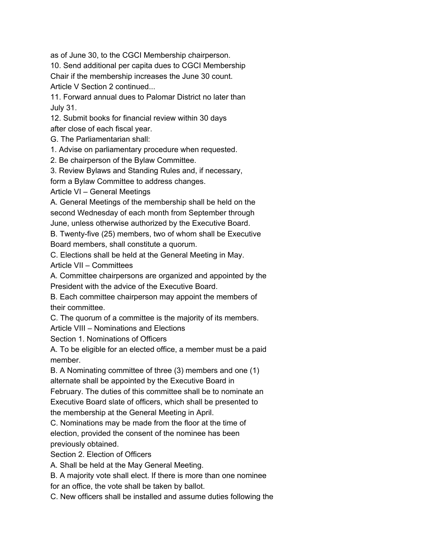as of June 30, to the CGCI Membership chairperson.

10. Send additional per capita dues to CGCI Membership Chair if the membership increases the June 30 count. Article V Section 2 continued...

11. Forward annual dues to Palomar District no later than July 31.

12. Submit books for financial review within 30 days after close of each fiscal year.

G. The Parliamentarian shall:

1. Advise on parliamentary procedure when requested.

2. Be chairperson of the Bylaw Committee.

3. Review Bylaws and Standing Rules and, if necessary,

form a Bylaw Committee to address changes.

Article VI – General Meetings

A. General Meetings of the membership shall be held on the second Wednesday of each month from September through June, unless otherwise authorized by the Executive Board.

B. Twenty-five (25) members, two of whom shall be Executive Board members, shall constitute a quorum.

C. Elections shall be held at the General Meeting in May.

Article VII – Committees

A. Committee chairpersons are organized and appointed by the President with the advice of the Executive Board.

B. Each committee chairperson may appoint the members of their committee.

C. The quorum of a committee is the majority of its members.

Article VIII – Nominations and Elections

Section 1. Nominations of Officers

A. To be eligible for an elected office, a member must be a paid member.

B. A Nominating committee of three (3) members and one (1) alternate shall be appointed by the Executive Board in

February. The duties of this committee shall be to nominate an Executive Board slate of officers, which shall be presented to the membership at the General Meeting in April.

C. Nominations may be made from the floor at the time of election, provided the consent of the nominee has been previously obtained.

Section 2. Election of Officers

A. Shall be held at the May General Meeting.

B. A majority vote shall elect. If there is more than one nominee

for an office, the vote shall be taken by ballot.

C. New officers shall be installed and assume duties following the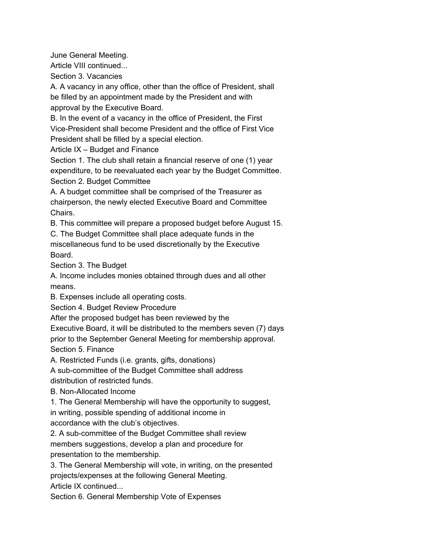June General Meeting.

Article VIII continued...

Section 3. Vacancies

A. A vacancy in any office, other than the office of President, shall be filled by an appointment made by the President and with approval by the Executive Board.

B. In the event of a vacancy in the office of President, the First Vice-President shall become President and the office of First Vice President shall be filled by a special election.

Article IX – Budget and Finance

Section 1. The club shall retain a financial reserve of one (1) year expenditure, to be reevaluated each year by the Budget Committee. Section 2. Budget Committee

A. A budget committee shall be comprised of the Treasurer as chairperson, the newly elected Executive Board and Committee Chairs.

B. This committee will prepare a proposed budget before August 15.

C. The Budget Committee shall place adequate funds in the miscellaneous fund to be used discretionally by the Executive Board.

Section 3. The Budget

A. Income includes monies obtained through dues and all other means.

B. Expenses include all operating costs.

Section 4. Budget Review Procedure

After the proposed budget has been reviewed by the

Executive Board, it will be distributed to the members seven (7) days prior to the September General Meeting for membership approval. Section 5. Finance

A. Restricted Funds (i.e. grants, gifts, donations)

A sub-committee of the Budget Committee shall address

distribution of restricted funds.

B. Non-Allocated Income

1. The General Membership will have the opportunity to suggest,

in writing, possible spending of additional income in

accordance with the club's objectives.

2. A sub-committee of the Budget Committee shall review

members suggestions, develop a plan and procedure for presentation to the membership.

3. The General Membership will vote, in writing, on the presented projects/expenses at the following General Meeting.

Article IX continued...

Section 6. General Membership Vote of Expenses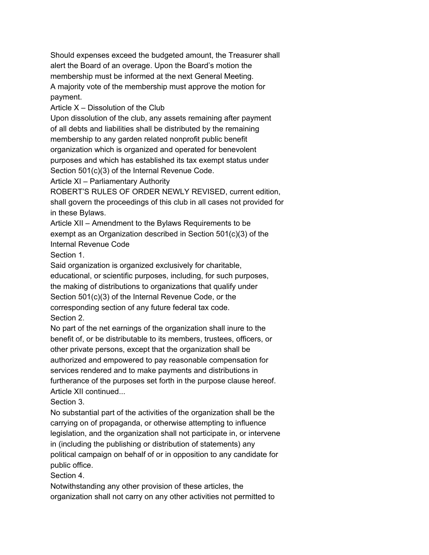Should expenses exceed the budgeted amount, the Treasurer shall alert the Board of an overage. Upon the Board's motion the membership must be informed at the next General Meeting. A majority vote of the membership must approve the motion for payment.

Article  $X -$  Dissolution of the Club

Upon dissolution of the club, any assets remaining after payment of all debts and liabilities shall be distributed by the remaining membership to any garden related nonprofit public benefit organization which is organized and operated for benevolent purposes and which has established its tax exempt status under Section 501(c)(3) of the Internal Revenue Code.

Article XI – Parliamentary Authority

ROBERT'S RULES OF ORDER NEWLY REVISED, current edition, shall govern the proceedings of this club in all cases not provided for in these Bylaws.

Article XII – Amendment to the Bylaws Requirements to be exempt as an Organization described in Section 501(c)(3) of the Internal Revenue Code

Section 1.

Said organization is organized exclusively for charitable, educational, or scientific purposes, including, for such purposes, the making of distributions to organizations that qualify under Section 501(c)(3) of the Internal Revenue Code, or the corresponding section of any future federal tax code. Section 2.

No part of the net earnings of the organization shall inure to the benefit of, or be distributable to its members, trustees, officers, or other private persons, except that the organization shall be authorized and empowered to pay reasonable compensation for services rendered and to make payments and distributions in furtherance of the purposes set forth in the purpose clause hereof. Article XII continued...

Section 3.

No substantial part of the activities of the organization shall be the carrying on of propaganda, or otherwise attempting to influence legislation, and the organization shall not participate in, or intervene in (including the publishing or distribution of statements) any political campaign on behalf of or in opposition to any candidate for public office.

Section 4.

Notwithstanding any other provision of these articles, the organization shall not carry on any other activities not permitted to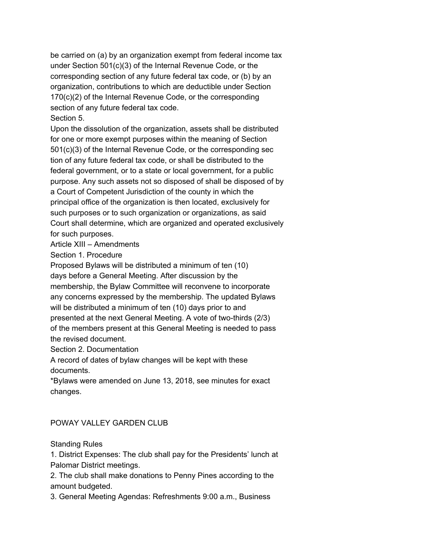be carried on (a) by an organization exempt from federal income tax under Section 501(c)(3) of the Internal Revenue Code, or the corresponding section of any future federal tax code, or (b) by an organization, contributions to which are deductible under Section 170(c)(2) of the Internal Revenue Code, or the corresponding section of any future federal tax code. Section 5.

Upon the dissolution of the organization, assets shall be distributed for one or more exempt purposes within the meaning of Section 501(c)(3) of the Internal Revenue Code, or the corresponding sec tion of any future federal tax code, or shall be distributed to the federal government, or to a state or local government, for a public purpose. Any such assets not so disposed of shall be disposed of by a Court of Competent Jurisdiction of the county in which the principal office of the organization is then located, exclusively for such purposes or to such organization or organizations, as said Court shall determine, which are organized and operated exclusively for such purposes.

Article XIII – Amendments

Section 1. Procedure

Proposed Bylaws will be distributed a minimum of ten (10) days before a General Meeting. After discussion by the membership, the Bylaw Committee will reconvene to incorporate any concerns expressed by the membership. The updated Bylaws will be distributed a minimum of ten (10) days prior to and presented at the next General Meeting. A vote of two-thirds (2/3) of the members present at this General Meeting is needed to pass the revised document.

Section 2. Documentation

A record of dates of bylaw changes will be kept with these documents.

\*Bylaws were amended on June 13, 2018, see minutes for exact changes.

## POWAY VALLEY GARDEN CLUB

Standing Rules

1. District Expenses: The club shall pay for the Presidents' lunch at Palomar District meetings.

2. The club shall make donations to Penny Pines according to the amount budgeted.

3. General Meeting Agendas: Refreshments 9:00 a.m., Business